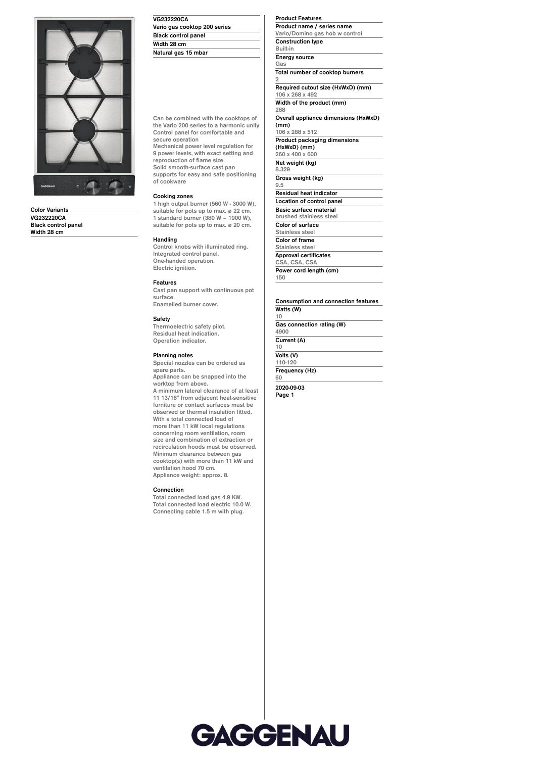

**Color Variants VG232220CA Black control panel Width 28 cm**

## **VG232220CA Vario gas cooktop 200 series Black control panel Width 28 cm Natural gas 15 mbar**

**Can be combined with the cooktops of the Vario 200 series to a harmonic unity Control panel for comfortable and secure operation Mechanical power level regulation for 9 power levels, with exact setting and reproduction of flame size Solid smooth-surface cast pan supports for easy and safe positioning of cookware**

## **Cooking zones**

**1 high output burner (560 W - 3000 W), suitable for pots up to max. ø 22 cm. 1 standard burner (380 W – 1900 W), suitable for pots up to max. ø 20 cm.**

#### **Handling**

**Control knobs with illuminated ring. Integrated control panel. One-handed operation. Electric ignition.**

# **Features**

**Cast pan support with continuous pot surface. Enamelled burner cover.**

#### **Safety**

**Thermoelectric safety pilot. Residual heat indication. Operation indicator.**

#### **Planning notes**

**Special nozzles can be ordered as spare parts. Appliance can be snapped into the worktop from above. A minimum lateral clearance of at least 11 13/16" from adjacent heat-sensitive furniture or contact surfaces must be observed or thermal insulation fitted. With a total connected load of more than 11 kW local regulations concerning room ventilation, room size and combination of extraction or recirculation hoods must be observed. Minimum clearance between gas cooktop(s) with more than 11 kW and ventilation hood 70 cm.**

**Appliance weight: approx. 8.**

## **Connection**

**Total connected load gas 4.9 KW. Total connected load electric 10.0 W. Connecting cable 1.5 m with plug.**

### **Product Features**

**Product name / series name Vario/Domino gas hob w control Construction type Built-in Energy source Gas Total number of cooktop burners 2 Required cutout size (HxWxD) (mm) 106 x 268 x 492**

**Width of the product (mm) 288**

**Overall appliance dimensions (HxWxD) (mm)**

**106 x 288 x 512 Product packaging dimensions (HxWxD) (mm) 260 x 400 x 600 Net weight (kg) 8.329 Gross weight (kg)**

**9.5 Residual heat indicator**

**Location of control panel Basic surface material brushed stainless steel**

**Color of surface Stainless steel**

**Color of frame Stainless steel**

**Approval certificates CSA, CSA, CSA**

**Power cord length (cm) 150**

#### **Consumption and connection features Watts (W) 10**

**Gas connection rating (W) 4900 Current (A) 10 Volts (V) 110-120 Frequency (Hz)**

**60**

**2020-09-03 Page 1**